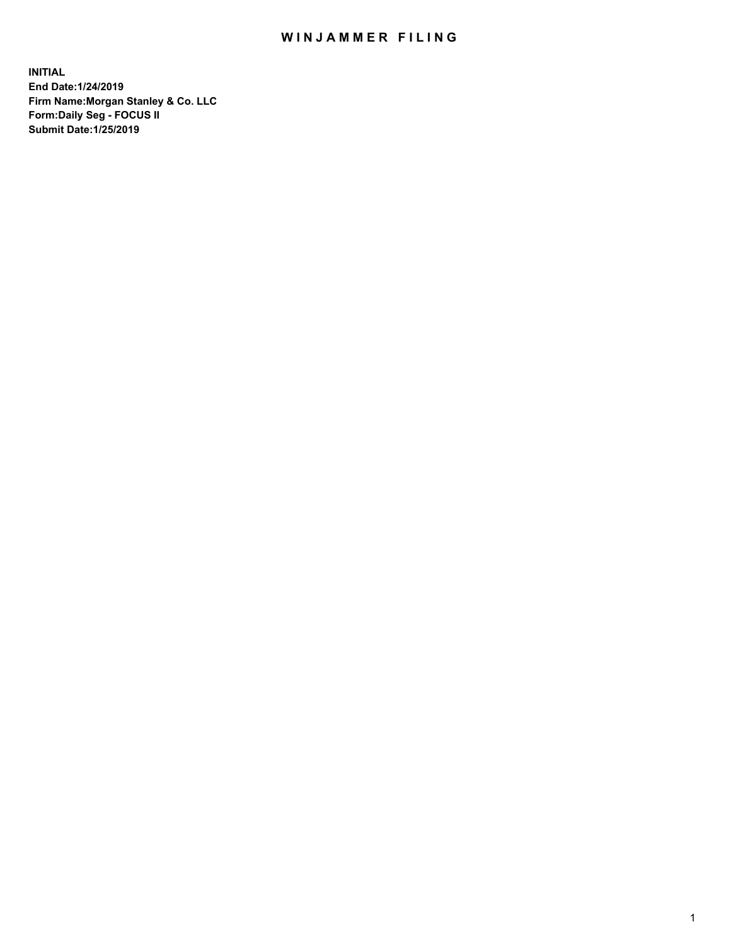## WIN JAMMER FILING

**INITIAL End Date:1/24/2019 Firm Name:Morgan Stanley & Co. LLC Form:Daily Seg - FOCUS II Submit Date:1/25/2019**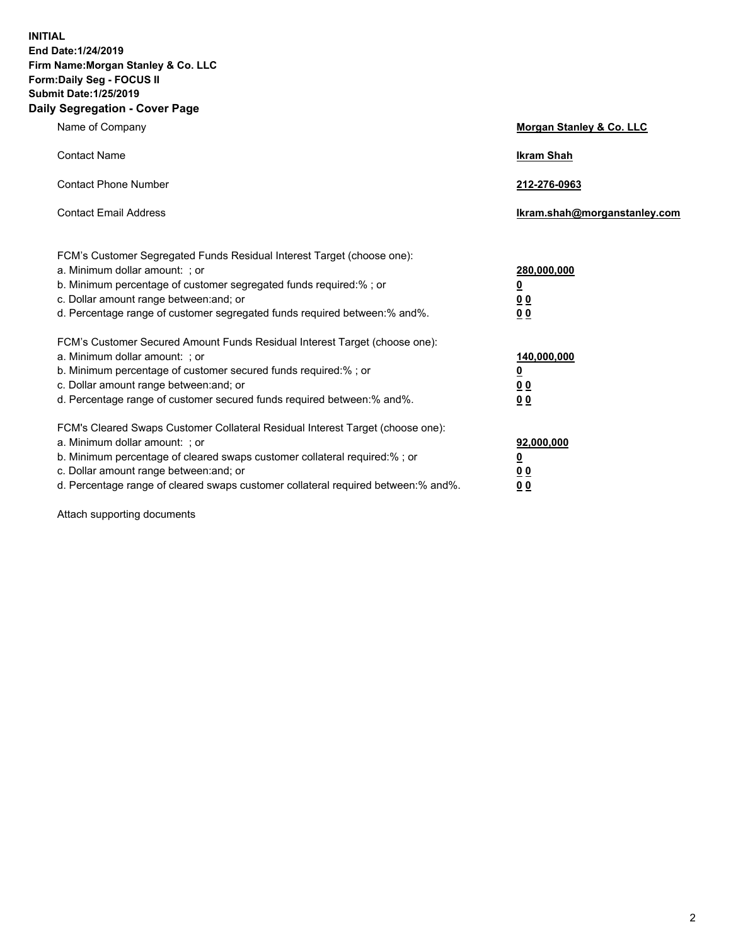**INITIAL End Date:1/24/2019 Firm Name:Morgan Stanley & Co. LLC Form:Daily Seg - FOCUS II Submit Date:1/25/2019 Daily Segregation - Cover Page**

| Name of Company                                                                                                                                                                                                                                                                                                                | Morgan Stanley & Co. LLC                               |
|--------------------------------------------------------------------------------------------------------------------------------------------------------------------------------------------------------------------------------------------------------------------------------------------------------------------------------|--------------------------------------------------------|
| <b>Contact Name</b>                                                                                                                                                                                                                                                                                                            | <b>Ikram Shah</b>                                      |
| <b>Contact Phone Number</b>                                                                                                                                                                                                                                                                                                    | 212-276-0963                                           |
| <b>Contact Email Address</b>                                                                                                                                                                                                                                                                                                   | Ikram.shah@morganstanley.com                           |
| FCM's Customer Segregated Funds Residual Interest Target (choose one):<br>a. Minimum dollar amount: ; or<br>b. Minimum percentage of customer segregated funds required:% ; or<br>c. Dollar amount range between: and; or<br>d. Percentage range of customer segregated funds required between:% and%.                         | 280,000,000<br><u>0</u><br><u>0 0</u><br>0 Q           |
| FCM's Customer Secured Amount Funds Residual Interest Target (choose one):<br>a. Minimum dollar amount: ; or<br>b. Minimum percentage of customer secured funds required:%; or<br>c. Dollar amount range between: and; or<br>d. Percentage range of customer secured funds required between:% and%.                            | 140,000,000<br><u>0</u><br><u>00</u><br>0 <sub>0</sub> |
| FCM's Cleared Swaps Customer Collateral Residual Interest Target (choose one):<br>a. Minimum dollar amount: ; or<br>b. Minimum percentage of cleared swaps customer collateral required:% ; or<br>c. Dollar amount range between: and; or<br>d. Percentage range of cleared swaps customer collateral required between:% and%. | 92,000,000<br><u>0</u><br><u>00</u><br>0 <sub>0</sub>  |

Attach supporting documents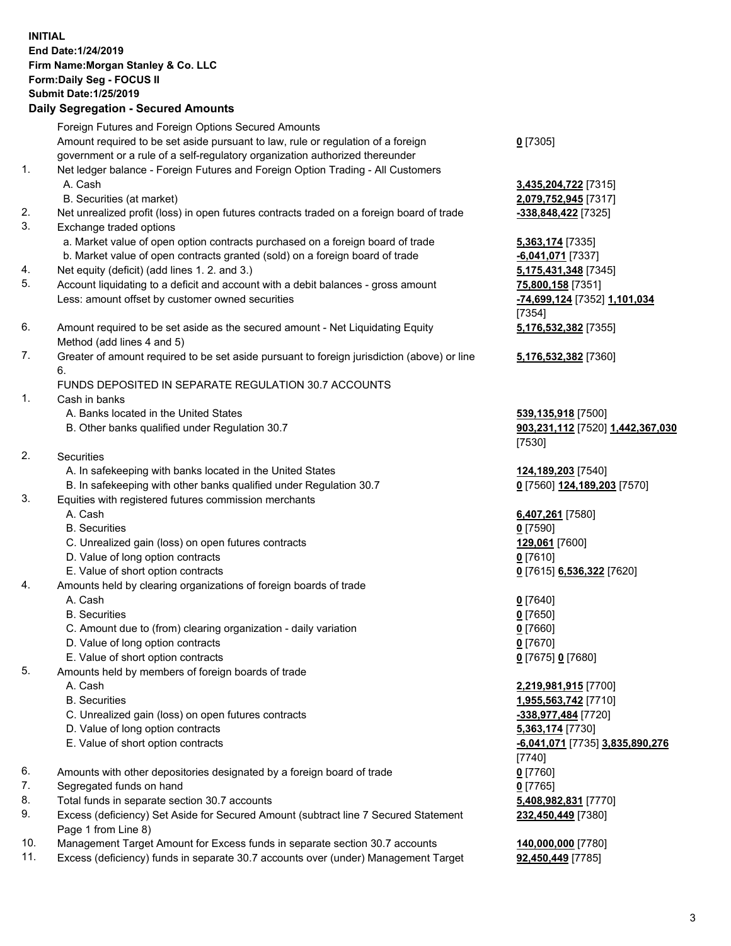## **INITIAL End Date:1/24/2019 Firm Name:Morgan Stanley & Co. LLC Form:Daily Seg - FOCUS II Submit Date:1/25/2019 Daily Segregation - Secured Amounts** Foreign Futures and Foreign Options Secured Amounts Amount required to be set aside pursuant to law, rule or regulation of a foreign government or a rule of a self-regulatory organization authorized thereunder

- 1. Net ledger balance Foreign Futures and Foreign Option Trading All Customers A. Cash **3,435,204,722** [7315] B. Securities (at market) **2,079,752,945** [7317] 2. Net unrealized profit (loss) in open futures contracts traded on a foreign board of trade **-338,848,422** [7325] 3. Exchange traded options a. Market value of open option contracts purchased on a foreign board of trade **5,363,174** [7335] b. Market value of open contracts granted (sold) on a foreign board of trade **-6,041,071** [7337] 4. Net equity (deficit) (add lines 1. 2. and 3.) **5,175,431,348** [7345]
- 
- 5. Account liquidating to a deficit and account with a debit balances gross amount **75,800,158** [7351] Less: amount offset by customer owned securities **-74,699,124** [7352] **1,101,034**
- 6. Amount required to be set aside as the secured amount Net Liquidating Equity Method (add lines 4 and 5)
- 7. Greater of amount required to be set aside pursuant to foreign jurisdiction (above) or line 6.

## FUNDS DEPOSITED IN SEPARATE REGULATION 30.7 ACCOUNTS

- 1. Cash in banks
	- A. Banks located in the United States **539,135,918** [7500]
	- B. Other banks qualified under Regulation 30.7 **903,231,112** [7520] **1,442,367,030**
- 2. Securities
	- A. In safekeeping with banks located in the United States **124,189,203** [7540]
	- B. In safekeeping with other banks qualified under Regulation 30.7 **0** [7560] **124,189,203** [7570]
- 3. Equities with registered futures commission merchants
	-
	- B. Securities **0** [7590]
	- C. Unrealized gain (loss) on open futures contracts **129,061** [7600]
	- D. Value of long option contracts **0** [7610]
- E. Value of short option contracts **0** [7615] **6,536,322** [7620]
- 4. Amounts held by clearing organizations of foreign boards of trade
	- A. Cash **0** [7640]
	- B. Securities **0** [7650]
	- C. Amount due to (from) clearing organization daily variation **0** [7660]
	- D. Value of long option contracts **0** [7670]
	- E. Value of short option contracts **0** [7675] **0** [7680]
- 5. Amounts held by members of foreign boards of trade
	-
	-
	- C. Unrealized gain (loss) on open futures contracts **-338,977,484** [7720]
	- D. Value of long option contracts **5,363,174** [7730]
	- E. Value of short option contracts **-6,041,071** [7735] **3,835,890,276**
- 6. Amounts with other depositories designated by a foreign board of trade **0** [7760]
- 7. Segregated funds on hand **0** [7765]
- 8. Total funds in separate section 30.7 accounts **5,408,982,831** [7770]
- 9. Excess (deficiency) Set Aside for Secured Amount (subtract line 7 Secured Statement Page 1 from Line 8)
- 10. Management Target Amount for Excess funds in separate section 30.7 accounts **140,000,000** [7780]
- 11. Excess (deficiency) funds in separate 30.7 accounts over (under) Management Target **92,450,449** [7785]

**0** [7305]

[7354] **5,176,532,382** [7355]

**5,176,532,382** [7360]

[7530]

A. Cash **6,407,261** [7580]

 A. Cash **2,219,981,915** [7700] B. Securities **1,955,563,742** [7710] [7740] **232,450,449** [7380]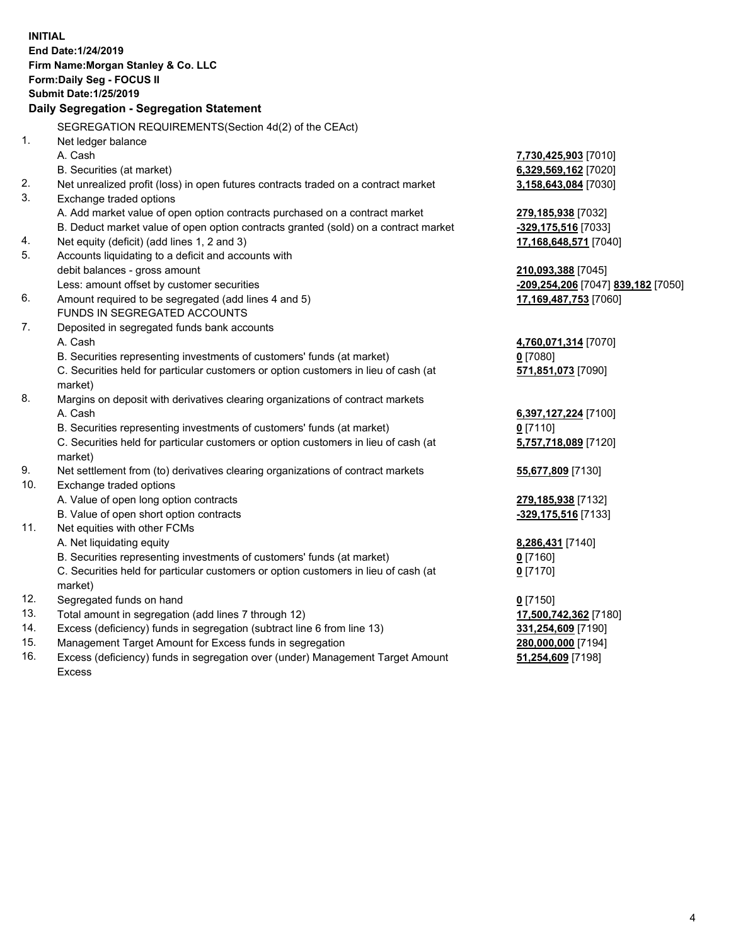**INITIAL End Date:1/24/2019 Firm Name:Morgan Stanley & Co. LLC Form:Daily Seg - FOCUS II Submit Date:1/25/2019 Daily Segregation - Segregation Statement** SEGREGATION REQUIREMENTS(Section 4d(2) of the CEAct) 1. Net ledger balance A. Cash **7,730,425,903** [7010] B. Securities (at market) **6,329,569,162** [7020] 2. Net unrealized profit (loss) in open futures contracts traded on a contract market **3,158,643,084** [7030] 3. Exchange traded options A. Add market value of open option contracts purchased on a contract market **279,185,938** [7032] B. Deduct market value of open option contracts granted (sold) on a contract market **-329,175,516** [7033] 4. Net equity (deficit) (add lines 1, 2 and 3) **17,168,648,571** [7040] 5. Accounts liquidating to a deficit and accounts with debit balances - gross amount **210,093,388** [7045] Less: amount offset by customer securities **-209,254,206** [7047] **839,182** [7050] 6. Amount required to be segregated (add lines 4 and 5) **17,169,487,753** [7060] FUNDS IN SEGREGATED ACCOUNTS 7. Deposited in segregated funds bank accounts A. Cash **4,760,071,314** [7070] B. Securities representing investments of customers' funds (at market) **0** [7080] C. Securities held for particular customers or option customers in lieu of cash (at market) **571,851,073** [7090] 8. Margins on deposit with derivatives clearing organizations of contract markets A. Cash **6,397,127,224** [7100] B. Securities representing investments of customers' funds (at market) **0** [7110] C. Securities held for particular customers or option customers in lieu of cash (at market) **5,757,718,089** [7120] 9. Net settlement from (to) derivatives clearing organizations of contract markets **55,677,809** [7130] 10. Exchange traded options A. Value of open long option contracts **279,185,938** [7132] B. Value of open short option contracts **-329,175,516** [7133] 11. Net equities with other FCMs A. Net liquidating equity **8,286,431** [7140] B. Securities representing investments of customers' funds (at market) **0** [7160] C. Securities held for particular customers or option customers in lieu of cash (at market) **0** [7170] 12. Segregated funds on hand **0** [7150] 13. Total amount in segregation (add lines 7 through 12) **17,500,742,362** [7180] 14. Excess (deficiency) funds in segregation (subtract line 6 from line 13) **331,254,609** [7190] 15. Management Target Amount for Excess funds in segregation **280,000,000** [7194]

16. Excess (deficiency) funds in segregation over (under) Management Target Amount Excess

**51,254,609** [7198]